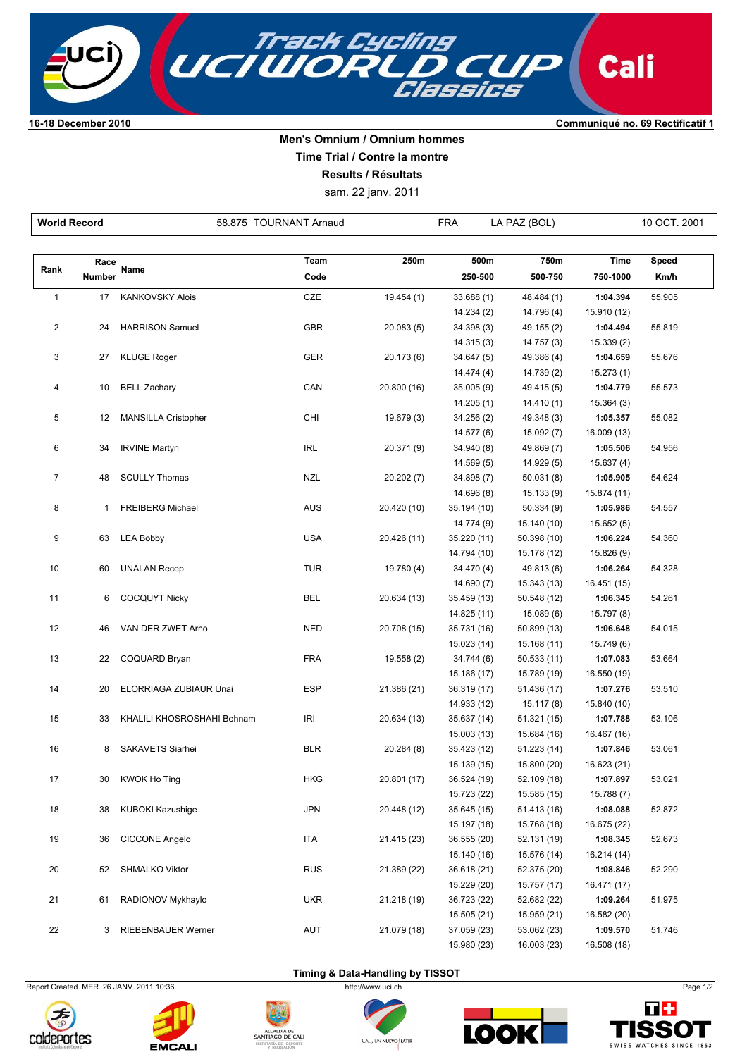

## **Men's Omnium / Omnium hommes**

**Time Trial / Contre la montre**

**Results / Résultats**

sam. 22 janv. 2011

| <b>World Record</b> |        |                            | 58.875 TOURNANT Arnaud |             | <b>FRA</b><br>LA PAZ (BOL) |                            |                         | 10 OCT. 2001 |  |
|---------------------|--------|----------------------------|------------------------|-------------|----------------------------|----------------------------|-------------------------|--------------|--|
|                     |        |                            |                        |             |                            |                            |                         |              |  |
|                     | Race   |                            | Team                   | 250m        | 500m                       | 750m                       | <b>Time</b>             | Speed        |  |
| Rank                | Number | Name                       | Code                   |             | 250-500                    | 500-750                    | 750-1000                | Km/h         |  |
| $\mathbf{1}$        | 17     | <b>KANKOVSKY Alois</b>     | CZE                    | 19.454 (1)  | 33.688 (1)                 | 48.484 (1)                 | 1:04.394                | 55.905       |  |
|                     |        |                            |                        |             | 14.234 (2)                 | 14.796 (4)                 | 15.910 (12)             |              |  |
| $\overline{c}$      | 24     | <b>HARRISON Samuel</b>     | <b>GBR</b>             | 20.083(5)   | 34.398(3)                  | 49.155 (2)                 | 1:04.494                | 55.819       |  |
|                     |        |                            |                        |             | 14.315(3)                  | 14.757 (3)                 | 15.339 (2)              |              |  |
| 3                   | 27     | <b>KLUGE Roger</b>         | <b>GER</b>             | 20.173 (6)  | 34.647(5)                  | 49.386 (4)                 | 1:04.659                | 55.676       |  |
|                     |        |                            |                        |             | 14.474 (4)                 | 14.739 (2)                 | 15.273(1)               |              |  |
| 4                   | 10     | <b>BELL Zachary</b>        | CAN                    | 20.800 (16) | 35.005(9)                  | 49.415 (5)                 | 1:04.779                | 55.573       |  |
|                     |        |                            |                        |             | 14.205(1)                  | 14.410 (1)                 | 15.364(3)               |              |  |
| 5                   | 12     | <b>MANSILLA Cristopher</b> | CHI                    | 19.679 (3)  | 34.256 (2)                 | 49.348 (3)                 | 1:05.357                | 55.082       |  |
|                     |        |                            |                        |             | 14.577 (6)                 | 15.092 (7)                 | 16.009 (13)             |              |  |
| 6                   | 34     | <b>IRVINE Martyn</b>       | <b>IRL</b>             | 20.371 (9)  | 34.940 (8)                 | 49.869 (7)                 | 1:05.506                | 54.956       |  |
|                     | 48     |                            | <b>NZL</b>             | 20.202 (7)  | 14.569(5)                  | 14.929 (5)                 | 15.637(4)               |              |  |
| 7                   |        | <b>SCULLY Thomas</b>       |                        |             | 34.898 (7)<br>14.696 (8)   | 50.031(8)<br>15.133 (9)    | 1:05.905<br>15.874 (11) | 54.624       |  |
| 8                   | 1      | <b>FREIBERG Michael</b>    | <b>AUS</b>             | 20.420 (10) | 35.194 (10)                | 50.334(9)                  | 1:05.986                | 54.557       |  |
|                     |        |                            |                        |             | 14.774 (9)                 | 15.140 (10)                | 15.652(5)               |              |  |
| 9                   | 63     | <b>LEA Bobby</b>           | <b>USA</b>             | 20.426 (11) | 35.220 (11)                | 50.398 (10)                | 1:06.224                | 54.360       |  |
|                     |        |                            |                        |             | 14.794 (10)                | 15.178 (12)                | 15.826 (9)              |              |  |
| 10                  | 60     | <b>UNALAN Recep</b>        | <b>TUR</b>             | 19.780 (4)  | 34.470 (4)                 | 49.813 (6)                 | 1:06.264                | 54.328       |  |
|                     |        |                            |                        |             | 14.690 (7)                 | 15.343 (13)                | 16.451 (15)             |              |  |
| 11                  | 6      | <b>COCQUYT Nicky</b>       | <b>BEL</b>             | 20.634 (13) | 35.459 (13)                | 50.548 (12)                | 1:06.345                | 54.261       |  |
|                     |        |                            |                        |             | 14.825 (11)                | 15.089 (6)                 | 15.797 (8)              |              |  |
| 12                  | 46     | VAN DER ZWET Arno          | <b>NED</b>             | 20.708 (15) | 35.731 (16)                | 50.899 (13)                | 1:06.648                | 54.015       |  |
|                     |        |                            |                        |             | 15.023 (14)                | 15.168 (11)                | 15.749 (6)              |              |  |
| 13                  | 22     | COQUARD Bryan              | <b>FRA</b>             | 19.558 (2)  | 34.744 (6)                 | 50.533 (11)                | 1:07.083                | 53.664       |  |
|                     |        |                            |                        |             | 15.186 (17)                | 15.789 (19)                | 16.550 (19)             |              |  |
| 14                  | 20     | ELORRIAGA ZUBIAUR Unai     | <b>ESP</b>             | 21.386 (21) | 36.319 (17)                | 51.436 (17)                | 1:07.276                | 53.510       |  |
|                     |        |                            |                        |             | 14.933 (12)                | 15.117 (8)                 | 15.840 (10)             |              |  |
| 15                  | 33     | KHALILI KHOSROSHAHI Behnam | <b>IRI</b>             | 20.634 (13) | 35.637 (14)                | 51.321 (15)                | 1:07.788                | 53.106       |  |
|                     |        |                            |                        |             | 15.003 (13)                | 15.684 (16)                | 16.467 (16)             |              |  |
| 16                  | 8      | SAKAVETS Siarhei           | <b>BLR</b>             | 20.284 (8)  | 35.423 (12)                | 51.223 (14)                | 1:07.846                | 53.061       |  |
|                     |        | 30 KWOK Ho Ting            | HKG                    |             | 15.139 (15)<br>36.524 (19) | 15.800 (20)                | 16.623 (21)<br>1:07.897 | 53.021       |  |
| 17                  |        |                            |                        | 20.801 (17) | 15.723 (22)                | 52.109 (18)<br>15.585 (15) | 15.788 (7)              |              |  |
| 18                  | 38     | <b>KUBOKI Kazushige</b>    | <b>JPN</b>             | 20.448 (12) | 35.645 (15)                | 51.413 (16)                | 1:08.088                | 52.872       |  |
|                     |        |                            |                        |             | 15.197 (18)                | 15.768 (18)                | 16.675 (22)             |              |  |
| 19                  | 36     | CICCONE Angelo             | <b>ITA</b>             | 21.415 (23) | 36.555 (20)                | 52.131 (19)                | 1:08.345                | 52.673       |  |
|                     |        |                            |                        |             | 15.140 (16)                | 15.576 (14)                | 16.214 (14)             |              |  |
| 20                  | 52     | SHMALKO Viktor             | <b>RUS</b>             | 21.389 (22) | 36.618 (21)                | 52.375 (20)                | 1:08.846                | 52.290       |  |
|                     |        |                            |                        |             | 15.229 (20)                | 15.757 (17)                | 16.471 (17)             |              |  |
| 21                  | 61     | RADIONOV Mykhaylo          | <b>UKR</b>             | 21.218 (19) | 36.723 (22)                | 52.682 (22)                | 1:09.264                | 51.975       |  |
|                     |        |                            |                        |             | 15.505 (21)                | 15.959 (21)                | 16.582 (20)             |              |  |
| 22                  | 3      | <b>RIEBENBAUER Werner</b>  | AUT                    | 21.079 (18) | 37.059 (23)                | 53.062 (23)                | 1:09.570                | 51.746       |  |
|                     |        |                            |                        |             | 15.980 (23)                | 16.003 (23)                | 16.508 (18)             |              |  |

**Timing & Data-Handling by TISSOT** 

Report Created MER. 26 JANV. 2011 10:36 http://www.uci.ch Page 1/2